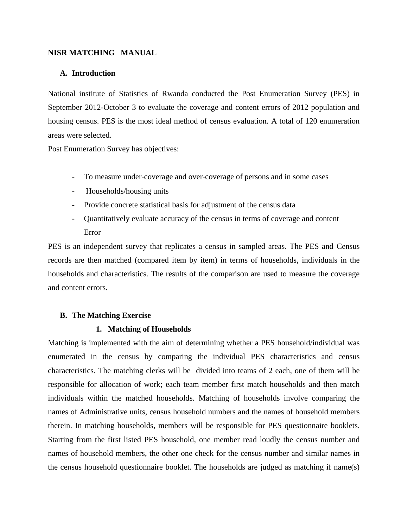## **NISR MATCHING MANUAL**

# **A. Introduction**

National institute of Statistics of Rwanda conducted the Post Enumeration Survey (PES) in September 2012-October 3 to evaluate the coverage and content errors of 2012 population and housing census. PES is the most ideal method of census evaluation. A total of 120 enumeration areas were selected.

Post Enumeration Survey has objectives:

- To measure under‐coverage and over‐coverage of persons and in some cases
- Households/housing units
- Provide concrete statistical basis for adjustment of the census data
- Quantitatively evaluate accuracy of the census in terms of coverage and content Error

PES is an independent survey that replicates a census in sampled areas. The PES and Census records are then matched (compared item by item) in terms of households, individuals in the households and characteristics. The results of the comparison are used to measure the coverage and content errors.

## **B. The Matching Exercise**

## **1. Matching of Households**

Matching is implemented with the aim of determining whether a PES household/individual was enumerated in the census by comparing the individual PES characteristics and census characteristics. The matching clerks will be divided into teams of 2 each, one of them will be responsible for allocation of work; each team member first match households and then match individuals within the matched households. Matching of households involve comparing the names of Administrative units, census household numbers and the names of household members therein. In matching households, members will be responsible for PES questionnaire booklets. Starting from the first listed PES household, one member read loudly the census number and names of household members, the other one check for the census number and similar names in the census household questionnaire booklet. The households are judged as matching if name(s)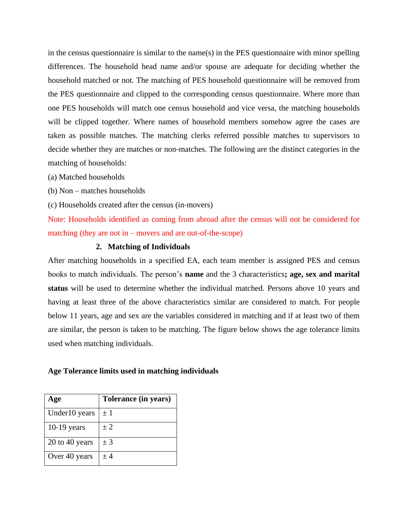in the census questionnaire is similar to the name(s) in the PES questionnaire with minor spelling differences. The household head name and/or spouse are adequate for deciding whether the household matched or not. The matching of PES household questionnaire will be removed from the PES questionnaire and clipped to the corresponding census questionnaire. Where more than one PES households will match one census household and vice versa, the matching households will be clipped together. Where names of household members somehow agree the cases are taken as possible matches. The matching clerks referred possible matches to supervisors to decide whether they are matches or non-matches. The following are the distinct categories in the matching of households:

- (a) Matched households
- (b) Non matches households
- (c) Households created after the census (in‐movers)

Note: Households identified as coming from abroad after the census will not be considered for matching (they are not in – movers and are out-of-the-scope)

## **2. Matching of Individuals**

After matching households in a specified EA, each team member is assigned PES and census books to match individuals. The person's **name** and the 3 characteristics**; age, sex and marital status** will be used to determine whether the individual matched. Persons above 10 years and having at least three of the above characteristics similar are considered to match. For people below 11 years, age and sex are the variables considered in matching and if at least two of them are similar, the person is taken to be matching. The figure below shows the age tolerance limits used when matching individuals.

#### **Age Tolerance limits used in matching individuals**

| Age              | Tolerance (in years) |
|------------------|----------------------|
| Under 10 years   | $\pm 1$              |
| $10-19$ years    | ± 2                  |
| $20$ to 40 years | $±$ 3                |
| Over 40 years    | ± 4                  |